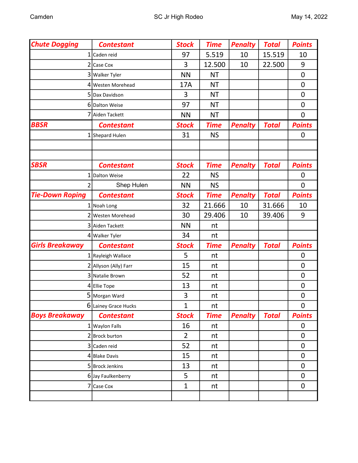| <b>Chute Dogging</b>   | <b>Contestant</b>     | <b>Stock</b>   | <b>Time</b> | <b>Penalty</b> | <b>Total</b> | <b>Points</b> |
|------------------------|-----------------------|----------------|-------------|----------------|--------------|---------------|
|                        | 1 Caden reid          | 97             | 5.519       | 10             | 15.519       | 10            |
| 21                     | Case Cox              | 3              | 12.500      | 10             | 22.500       | 9             |
|                        | 3 Walker Tyler        | <b>NN</b>      | <b>NT</b>   |                |              | $\mathbf 0$   |
|                        | 4 Westen Morehead     | 17A            | <b>NT</b>   |                |              | $\mathbf 0$   |
|                        | 5 Dax Davidson        | 3              | <b>NT</b>   |                |              | $\mathbf 0$   |
|                        | 6 Dalton Weise        | 97             | <b>NT</b>   |                |              | $\mathbf 0$   |
|                        | 7 Aiden Tackett       | <b>NN</b>      | <b>NT</b>   |                |              | $\mathbf 0$   |
| <b>BBSR</b>            | <b>Contestant</b>     | <b>Stock</b>   | <b>Time</b> | <b>Penalty</b> | <b>Total</b> | <b>Points</b> |
|                        | 1 Shepard Hulen       | 31             | <b>NS</b>   |                |              | 0             |
|                        |                       |                |             |                |              |               |
|                        |                       |                |             |                |              |               |
| <b>SBSR</b>            | <b>Contestant</b>     | <b>Stock</b>   | <b>Time</b> | <b>Penalty</b> | <b>Total</b> | <b>Points</b> |
| 1                      | Dalton Weise          | 22             | <b>NS</b>   |                |              | $\mathbf 0$   |
| 2                      | Shep Hulen            | <b>NN</b>      | <b>NS</b>   |                |              | 0             |
| <b>Tie-Down Roping</b> | <b>Contestant</b>     | <b>Stock</b>   | <b>Time</b> | <b>Penalty</b> | <b>Total</b> | <b>Points</b> |
|                        | 1 Noah Long           | 32             | 21.666      | 10             | 31.666       | 10            |
|                        | 2 Westen Morehead     | 30             | 29.406      | 10             | 39.406       | 9             |
|                        | 3 Aiden Tackett       | <b>NN</b>      | nt          |                |              |               |
|                        | 4 Walker Tyler        | 34             | nt          |                |              |               |
| <b>Girls Breakaway</b> | <b>Contestant</b>     | <b>Stock</b>   | <b>Time</b> | <b>Penalty</b> | <b>Total</b> | <b>Points</b> |
|                        | 1 Rayleigh Wallace    | 5              | nt          |                |              | 0             |
|                        | 2 Allyson (Ally) Farr | 15             | nt          |                |              | $\mathbf 0$   |
|                        | 3 Natalie Brown       | 52             | nt          |                |              | $\mathbf 0$   |
|                        | 4 Ellie Tope          | 13             | nt          |                |              | $\mathbf 0$   |
|                        | 5 Morgan Ward         | 3              | nt          |                |              | $\mathbf 0$   |
|                        | 6 Lainey Grace Hucks  | $\mathbf{1}$   | nt          |                |              | $\mathbf 0$   |
| <b>Boys Breakaway</b>  | <b>Contestant</b>     | <b>Stock</b>   | <b>Time</b> | <b>Penalty</b> | <b>Total</b> | <b>Points</b> |
|                        | 1 Waylon Falls        | 16             | nt          |                |              | $\mathbf 0$   |
|                        | 2 Brock burton        | $\overline{2}$ | nt          |                |              | 0             |
|                        | 3 Caden reid          | 52             | nt          |                |              | $\mathbf 0$   |
|                        | 4 Blake Davis         | 15             | nt          |                |              | 0             |
|                        | 5 Brock Jenkins       | 13             | nt          |                |              | 0             |
|                        | 6 Jay Faulkenberry    | 5              | nt          |                |              | $\mathbf 0$   |
|                        | 7 Case Cox            | $\mathbf{1}$   | nt          |                |              | 0             |
|                        |                       |                |             |                |              |               |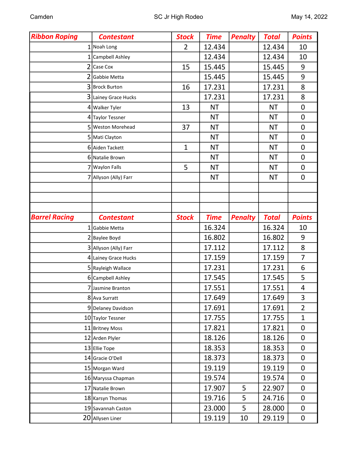| <b>Ribbon Roping</b> | <b>Contestant</b>     | <b>Stock</b>   | <b>Time</b> | <b>Penalty</b> | <b>Total</b> | <b>Points</b>  |
|----------------------|-----------------------|----------------|-------------|----------------|--------------|----------------|
|                      | $1$ Noah Long         | $\overline{2}$ | 12.434      |                | 12.434       | 10             |
| 1 <sup>1</sup>       | Campbell Ashley       |                | 12.434      |                | 12.434       | 10             |
| $\overline{2}$       | Case Cox              | 15             | 15.445      |                | 15.445       | 9              |
|                      | Gabbie Metta          |                | 15.445      |                | 15.445       | 9              |
|                      | 3 Brock Burton        | 16             | 17.231      |                | 17.231       | 8              |
|                      | 3 Lainey Grace Hucks  |                | 17.231      |                | 17.231       | 8              |
|                      | 4 Walker Tyler        | 13             | <b>NT</b>   |                | <b>NT</b>    | $\overline{0}$ |
|                      | 4 Taylor Tessner      |                | <b>NT</b>   |                | <b>NT</b>    | $\mathbf 0$    |
|                      | 5 Weston Morehead     | 37             | <b>NT</b>   |                | <b>NT</b>    | 0              |
|                      | 5 Mati Clayton        |                | <b>NT</b>   |                | <b>NT</b>    | $\mathbf 0$    |
|                      | 6 Aiden Tackett       | $\mathbf{1}$   | <b>NT</b>   |                | <b>NT</b>    | $\mathbf 0$    |
|                      | 6 Natalie Brown       |                | <b>NT</b>   |                | <b>NT</b>    | $\mathbf 0$    |
|                      | 7 Waylon Falls        | 5              | <b>NT</b>   |                | <b>NT</b>    | $\mathbf 0$    |
|                      | 7 Allyson (Ally) Farr |                | <b>NT</b>   |                | <b>NT</b>    | $\mathbf 0$    |
|                      |                       |                |             |                |              |                |
|                      |                       |                |             |                |              |                |
|                      |                       |                |             |                |              |                |
| <b>Barrel Racing</b> | <b>Contestant</b>     | <b>Stock</b>   | <b>Time</b> | <b>Penalty</b> | <b>Total</b> | <b>Points</b>  |
|                      | 1 Gabbie Metta        |                | 16.324      |                | 16.324       | 10             |
|                      | 2 Baylee Boyd         |                | 16.802      |                | 16.802       | 9              |
|                      | 3 Allyson (Ally) Farr |                | 17.112      |                | 17.112       | 8              |
|                      | 4 Lainey Grace Hucks  |                | 17.159      |                | 17.159       | $\overline{7}$ |
|                      | 5 Rayleigh Wallace    |                | 17.231      |                | 17.231       | 6              |
|                      | 6 Campbell Ashley     |                | 17.545      |                | 17.545       | 5              |
|                      | 7 Jasmine Branton     |                | 17.551      |                | 17.551       | 4              |
|                      | 8 Ava Surratt         |                | 17.649      |                | 17.649       | 3              |
|                      | 9 Delaney Davidson    |                | 17.691      |                | 17.691       | $\overline{2}$ |
|                      | 10 Taylor Tessner     |                | 17.755      |                | 17.755       | $\mathbf{1}$   |
|                      | 11 Britney Moss       |                | 17.821      |                | 17.821       | $\mathbf 0$    |
|                      | 12 Arden Plyler       |                | 18.126      |                | 18.126       | 0              |
|                      | 13 Ellie Tope         |                | 18.353      |                | 18.353       | $\mathbf 0$    |
|                      | 14 Gracie O'Dell      |                | 18.373      |                | 18.373       | 0              |
|                      | 15 Morgan Ward        |                | 19.119      |                | 19.119       | $\mathbf 0$    |
|                      | 16 Maryssa Chapman    |                | 19.574      |                | 19.574       | 0              |
|                      | 17 Natalie Brown      |                | 17.907      | 5              | 22.907       | $\mathbf 0$    |
|                      | 18 Karsyn Thomas      |                | 19.716      | 5              | 24.716       | 0              |
|                      | 19 Savannah Caston    |                | 23.000      | 5              | 28.000       | 0              |
|                      | 20 Allysen Liner      |                | 19.119      | 10             | 29.119       | $\mathsf{O}$   |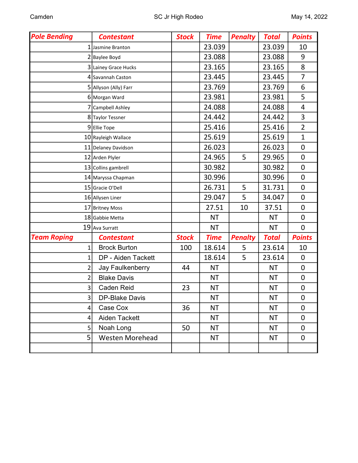| <b>Pole Bending</b>     | <b>Contestant</b>       | <b>Stock</b> | <b>Time</b> | <b>Penalty</b> | <b>Total</b> | <b>Points</b>    |
|-------------------------|-------------------------|--------------|-------------|----------------|--------------|------------------|
| 1                       | Jasmine Branton         |              | 23.039      |                | 23.039       | 10               |
|                         | 2 Baylee Boyd           |              | 23.088      |                | 23.088       | 9                |
|                         | 3 Lainey Grace Hucks    |              | 23.165      |                | 23.165       | 8                |
|                         | 4 Savannah Caston       |              | 23.445      |                | 23.445       | $\overline{7}$   |
|                         | 5 Allyson (Ally) Farr   |              | 23.769      |                | 23.769       | 6                |
|                         | 6 Morgan Ward           |              | 23.981      |                | 23.981       | 5                |
|                         | Campbell Ashley         |              | 24.088      |                | 24.088       | $\overline{4}$   |
|                         | 8 Taylor Tessner        |              | 24.442      |                | 24.442       | 3                |
|                         | 9 Ellie Tope            |              | 25.416      |                | 25.416       | $\overline{2}$   |
|                         | 10 Rayleigh Wallace     |              | 25.619      |                | 25.619       | $\mathbf 1$      |
|                         | 11 Delaney Davidson     |              | 26.023      |                | 26.023       | $\mathbf 0$      |
|                         | 12 Arden Plyler         |              | 24.965      | 5              | 29.965       | $\mathbf 0$      |
|                         | 13 Collins gambrell     |              | 30.982      |                | 30.982       | $\mathbf 0$      |
|                         | 14 Maryssa Chapman      |              | 30.996      |                | 30.996       | $\mathbf 0$      |
|                         | 15 Gracie O'Dell        |              | 26.731      | 5              | 31.731       | $\mathbf 0$      |
|                         | 16 Allysen Liner        |              | 29.047      | 5              | 34.047       | $\mathbf 0$      |
|                         | 17 Britney Moss         |              | 27.51       | 10             | 37.51        | $\mathbf 0$      |
|                         | 18 Gabbie Metta         |              | <b>NT</b>   |                | <b>NT</b>    | $\mathbf 0$      |
|                         | 19 Ava Surratt          |              | <b>NT</b>   |                | <b>NT</b>    | $\mathbf 0$      |
| <b>Team Roping</b>      | <b>Contestant</b>       | <b>Stock</b> | <b>Time</b> | <b>Penalty</b> | <b>Total</b> | <b>Points</b>    |
| 1                       | <b>Brock Burton</b>     | 100          | 18.614      | 5              | 23.614       | 10               |
| $\mathbf 1$             | DP - Aiden Tackett      |              | 18.614      | 5              | 23.614       | $\mathbf 0$      |
| 2                       | <b>Jay Faulkenberry</b> | 44           | <b>NT</b>   |                | <b>NT</b>    | $\mathbf 0$      |
| $\overline{\mathbf{c}}$ | <b>Blake Davis</b>      |              | <b>NT</b>   |                | <b>NT</b>    | $\boldsymbol{0}$ |
| 3                       | <b>Caden Reid</b>       | 23           | <b>NT</b>   |                | <b>NT</b>    | $\mathbf 0$      |
| $\overline{\mathbf{3}}$ | <b>DP-Blake Davis</b>   |              | <b>NT</b>   |                | <b>NT</b>    | 0                |
| 4                       | Case Cox                | 36           | <b>NT</b>   |                | <b>NT</b>    | $\mathbf 0$      |
| 4                       | Aiden Tackett           |              | <b>NT</b>   |                | <b>NT</b>    | $\mathbf 0$      |
| 5                       | Noah Long               | 50           | <b>NT</b>   |                | <b>NT</b>    | $\mathbf 0$      |
| 5                       | <b>Westen Morehead</b>  |              | <b>NT</b>   |                | <b>NT</b>    | $\mathbf 0$      |
|                         |                         |              |             |                |              |                  |